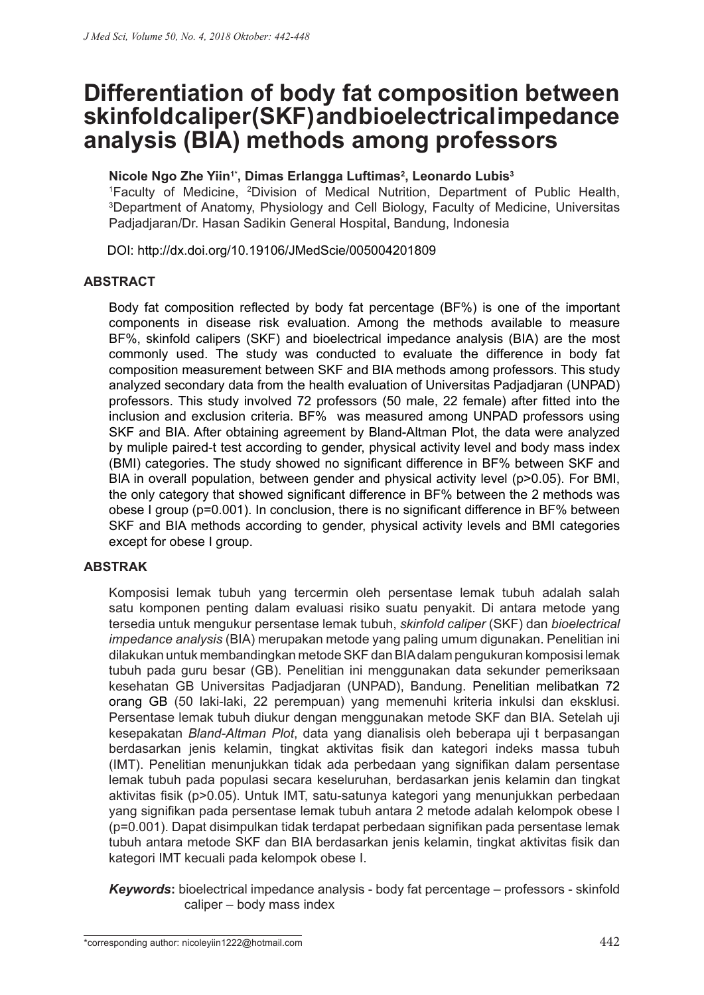# **Differentiation of body fat composition between skinfold caliper (SKF) and bioelectrical impedance analysis (BIA) methods among professors**

## **Nicole Ngo Zhe Yiin1\*, Dimas Erlangga Luftimas2 , Leonardo Lubis3**

1 Faculty of Medicine, 2 Division of Medical Nutrition, Department of Public Health, 3 Department of Anatomy, Physiology and Cell Biology, Faculty of Medicine, Universitas Padjadjaran/Dr. Hasan Sadikin General Hospital, Bandung, Indonesia

DOI: http://dx.doi.org/10.19106/JMedScie/005004201809

### **ABSTRACT**

Body fat composition reflected by body fat percentage (BF%) is one of the important components in disease risk evaluation. Among the methods available to measure BF%, skinfold calipers (SKF) and bioelectrical impedance analysis (BIA) are the most commonly used. The study was conducted to evaluate the difference in body fat composition measurement between SKF and BIA methods among professors. This study analyzed secondary data from the health evaluation of Universitas Padjadjaran (UNPAD) professors. This study involved 72 professors (50 male, 22 female) after fitted into the inclusion and exclusion criteria. BF% was measured among UNPAD professors using SKF and BIA. After obtaining agreement by Bland-Altman Plot, the data were analyzed by muliple paired-t test according to gender, physical activity level and body mass index (BMI) categories. The study showed no significant difference in BF% between SKF and BIA in overall population, between gender and physical activity level (p>0.05). For BMI, the only category that showed significant difference in BF% between the 2 methods was obese I group (p=0.001). In conclusion, there is no significant difference in BF% between SKF and BIA methods according to gender, physical activity levels and BMI categories except for obese I group.

### **ABSTRAK**

Komposisi lemak tubuh yang tercermin oleh persentase lemak tubuh adalah salah satu komponen penting dalam evaluasi risiko suatu penyakit. Di antara metode yang tersedia untuk mengukur persentase lemak tubuh, *skinfold caliper* (SKF) dan *bioelectrical impedance analysis* (BIA) merupakan metode yang paling umum digunakan. Penelitian ini dilakukan untuk membandingkan metode SKF dan BIA dalam pengukuran komposisi lemak tubuh pada guru besar (GB). Penelitian ini menggunakan data sekunder pemeriksaan kesehatan GB Universitas Padjadjaran (UNPAD), Bandung. Penelitian melibatkan 72 orang GB (50 laki-laki, 22 perempuan) yang memenuhi kriteria inkulsi dan eksklusi. Persentase lemak tubuh diukur dengan menggunakan metode SKF dan BIA. Setelah uji kesepakatan *Bland-Altman Plot*, data yang dianalisis oleh beberapa uji t berpasangan berdasarkan jenis kelamin, tingkat aktivitas fisik dan kategori indeks massa tubuh (IMT). Penelitian menunjukkan tidak ada perbedaan yang signifikan dalam persentase lemak tubuh pada populasi secara keseluruhan, berdasarkan jenis kelamin dan tingkat aktivitas fisik (p>0.05). Untuk IMT, satu-satunya kategori yang menunjukkan perbedaan yang signifikan pada persentase lemak tubuh antara 2 metode adalah kelompok obese I (p=0.001). Dapat disimpulkan tidak terdapat perbedaan signifikan pada persentase lemak tubuh antara metode SKF dan BIA berdasarkan jenis kelamin, tingkat aktivitas fisik dan kategori IMT kecuali pada kelompok obese I.

*Keywords***:** bioelectrical impedance analysis - body fat percentage – professors - skinfold caliper – body mass index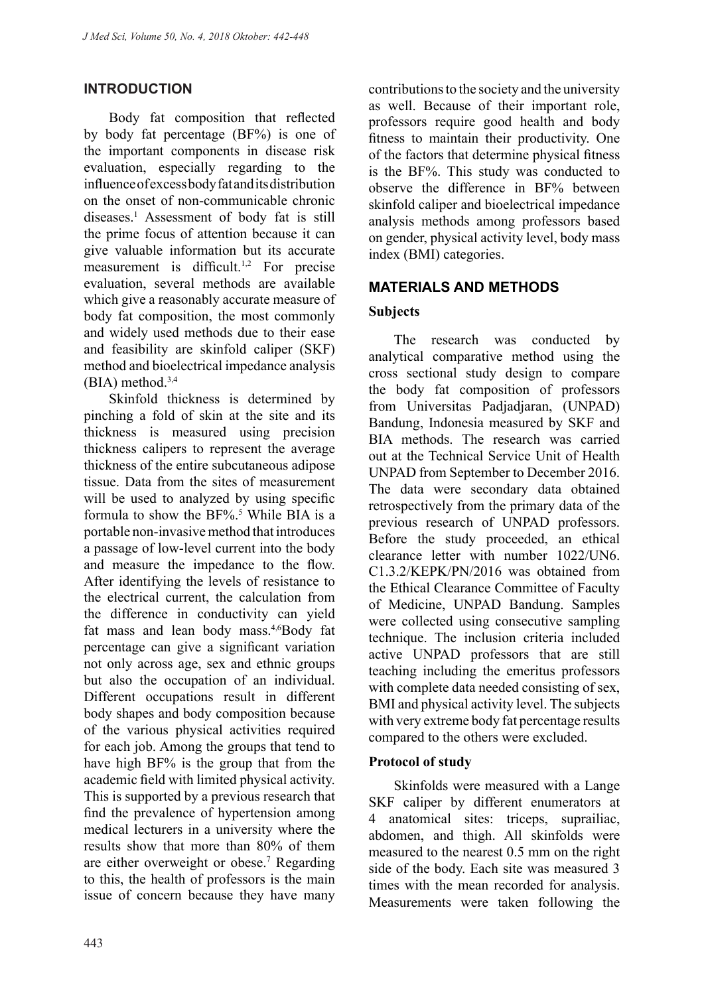## **INTRODUCTION**

Body fat composition that reflected by body fat percentage (BF%) is one of the important components in disease risk evaluation, especially regarding to the influence of excess body fat and its distribution on the onset of non-communicable chronic diseases.1 Assessment of body fat is still the prime focus of attention because it can give valuable information but its accurate measurement is difficult.<sup>1,2</sup> For precise evaluation, several methods are available which give a reasonably accurate measure of body fat composition, the most commonly and widely used methods due to their ease and feasibility are skinfold caliper (SKF) method and bioelectrical impedance analysis  $(BIA)$  method.<sup>3,4</sup>

Skinfold thickness is determined by pinching a fold of skin at the site and its thickness is measured using precision thickness calipers to represent the average thickness of the entire subcutaneous adipose tissue. Data from the sites of measurement will be used to analyzed by using specific formula to show the  $BF\%$ .<sup>5</sup> While BIA is a portable non-invasive method that introduces a passage of low-level current into the body and measure the impedance to the flow. After identifying the levels of resistance to the electrical current, the calculation from the difference in conductivity can yield fat mass and lean body mass.<sup>4,6</sup>Body fat percentage can give a significant variation not only across age, sex and ethnic groups but also the occupation of an individual. Different occupations result in different body shapes and body composition because of the various physical activities required for each job. Among the groups that tend to have high BF% is the group that from the academic field with limited physical activity. This is supported by a previous research that find the prevalence of hypertension among medical lecturers in a university where the results show that more than 80% of them are either overweight or obese.<sup>7</sup> Regarding to this, the health of professors is the main issue of concern because they have many

contributions to the society and the university as well. Because of their important role, professors require good health and body fitness to maintain their productivity. One of the factors that determine physical fitness is the BF%. This study was conducted to observe the difference in BF% between skinfold caliper and bioelectrical impedance analysis methods among professors based on gender, physical activity level, body mass index (BMI) categories.

## **MATERIALS AND METHODS**

## **Subjects**

The research was conducted by analytical comparative method using the cross sectional study design to compare the body fat composition of professors from Universitas Padjadjaran, (UNPAD) Bandung, Indonesia measured by SKF and BIA methods. The research was carried out at the Technical Service Unit of Health UNPAD from September to December 2016. The data were secondary data obtained retrospectively from the primary data of the previous research of UNPAD professors. Before the study proceeded, an ethical clearance letter with number 1022/UN6. C1.3.2/KEPK/PN/2016 was obtained from the Ethical Clearance Committee of Faculty of Medicine, UNPAD Bandung. Samples were collected using consecutive sampling technique. The inclusion criteria included active UNPAD professors that are still teaching including the emeritus professors with complete data needed consisting of sex, BMI and physical activity level. The subjects with very extreme body fat percentage results compared to the others were excluded.

### **Protocol of study**

Skinfolds were measured with a Lange SKF caliper by different enumerators at 4 anatomical sites: triceps, suprailiac, abdomen, and thigh. All skinfolds were measured to the nearest 0.5 mm on the right side of the body. Each site was measured 3 times with the mean recorded for analysis. Measurements were taken following the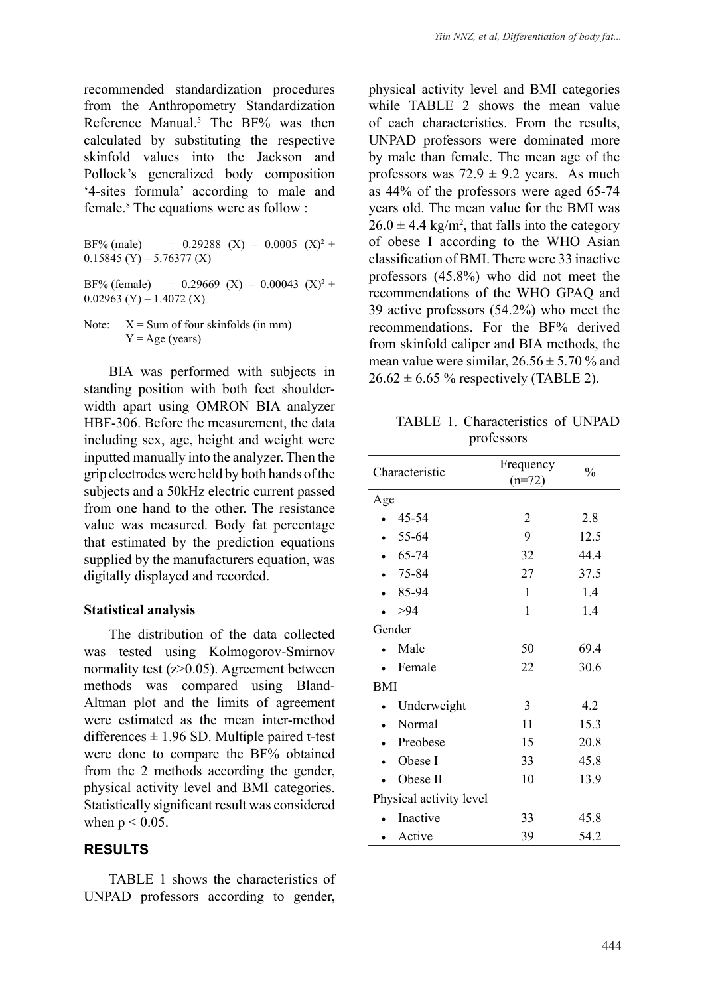recommended standardization procedures from the Anthropometry Standardization Reference Manual.<sup>5</sup> The BF% was then calculated by substituting the respective skinfold values into the Jackson and Pollock's generalized body composition '4-sites formula' according to male and female.8 The equations were as follow :

BF% (male) =  $0.29288$  (X) –  $0.0005$  (X)<sup>2</sup> +  $0.15845$  (Y) – 5.76377 (X) BF% (female) =  $0.29669$  (X) –  $0.00043$  (X)<sup>2</sup> +  $0.02963$  (Y) – 1.4072 (X)

Note:  $X = Sum of four skin folds (in mm)$  $Y = Age$  (years)

BIA was performed with subjects in standing position with both feet shoulderwidth apart using OMRON BIA analyzer HBF-306. Before the measurement, the data including sex, age, height and weight were inputted manually into the analyzer. Then the grip electrodes were held by both hands of the subjects and a 50kHz electric current passed from one hand to the other. The resistance value was measured. Body fat percentage that estimated by the prediction equations supplied by the manufacturers equation, was digitally displayed and recorded.

#### **Statistical analysis**

The distribution of the data collected was tested using Kolmogorov-Smirnov normality test (z>0.05). Agreement between methods was compared using Bland-Altman plot and the limits of agreement were estimated as the mean inter-method differences  $\pm$  1.96 SD. Multiple paired t-test were done to compare the BF% obtained from the 2 methods according the gender, physical activity level and BMI categories. Statistically significant result was considered when  $p < 0.05$ .

### **RESULTS**

TABLE 1 shows the characteristics of UNPAD professors according to gender,

physical activity level and BMI categories while TABLE 2 shows the mean value of each characteristics. From the results, UNPAD professors were dominated more by male than female. The mean age of the professors was  $72.9 \pm 9.2$  years. As much as 44% of the professors were aged 65-74 years old. The mean value for the BMI was  $26.0 \pm 4.4$  kg/m<sup>2</sup>, that falls into the category of obese I according to the WHO Asian classification of BMI. There were 33 inactive professors (45.8%) who did not meet the recommendations of the WHO GPAQ and 39 active professors (54.2%) who meet the recommendations. For the BF% derived from skinfold caliper and BIA methods, the mean value were similar,  $26.56 \pm 5.70$  % and  $26.62 \pm 6.65$  % respectively (TABLE 2).

TABLE 1. Characteristics of UNPAD professors

| Characteristic          |             | Frequency<br>$(n=72)$ | $\frac{0}{0}$ |  |
|-------------------------|-------------|-----------------------|---------------|--|
| Age                     |             |                       |               |  |
|                         | 45-54       | 2                     | 2.8           |  |
|                         | 55-64       | 9                     | 12.5          |  |
|                         | 65-74       | 32                    | 44.4          |  |
|                         | 75-84       | 27                    | 37.5          |  |
|                         | 85-94       | 1                     | 1.4           |  |
|                         | >94         | 1                     | 1.4           |  |
| Gender                  |             |                       |               |  |
|                         | Male        | 50                    | 69.4          |  |
|                         | Female      | 22                    | 30.6          |  |
| <b>BMI</b>              |             |                       |               |  |
|                         | Underweight | 3                     | 4.2           |  |
|                         | Normal      | 11                    | 15.3          |  |
|                         | Preobese    | 15                    | 20.8          |  |
|                         | Obese I     | 33                    | 45.8          |  |
|                         | Obese II    | 10                    | 13.9          |  |
| Physical activity level |             |                       |               |  |
|                         | Inactive    | 33                    | 45.8          |  |
|                         | Active      | 39                    | 54.2          |  |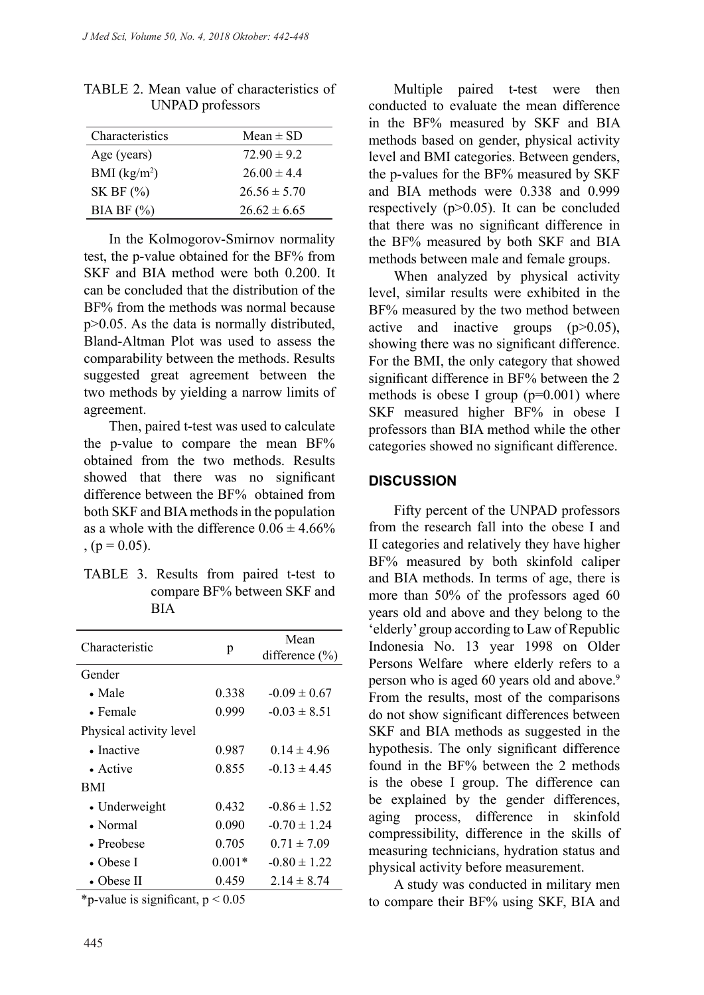| Characteristics          | Mean $\pm$ SD    |
|--------------------------|------------------|
| Age (years)              | $7290 \pm 92$    |
| BMI (kg/m <sup>2</sup> ) | $26.00 \pm 4.4$  |
| SK BF $(%)$              | $26.56 \pm 5.70$ |
| $BIABF$ $(\% )$          | $26.62 \pm 6.65$ |

TABLE 2. Mean value of characteristics of UNPAD professors

In the Kolmogorov-Smirnov normality test, the p-value obtained for the BF% from SKF and BIA method were both 0.200. It can be concluded that the distribution of the BF% from the methods was normal because p>0.05. As the data is normally distributed, Bland-Altman Plot was used to assess the comparability between the methods. Results suggested great agreement between the two methods by yielding a narrow limits of agreement.

Then, paired t-test was used to calculate the p-value to compare the mean BF% obtained from the two methods. Results showed that there was no significant difference between the BF% obtained from both SKF and BIA methods in the population as a whole with the difference  $0.06 \pm 4.66\%$  $, (p = 0.05).$ 

| TABLE 3. Results from paired t-test to |                             |  |  |
|----------------------------------------|-----------------------------|--|--|
|                                        | compare BF% between SKF and |  |  |
|                                        | <b>BIA</b>                  |  |  |

| Characteristic                        | p        | Mean<br>difference $(\% )$ |  |  |  |
|---------------------------------------|----------|----------------------------|--|--|--|
| Gender                                |          |                            |  |  |  |
| $\bullet$ Male                        | 0.338    | $-0.09 \pm 0.67$           |  |  |  |
| $\bullet$ Female                      | 0.999    | $-0.03 \pm 8.51$           |  |  |  |
| Physical activity level               |          |                            |  |  |  |
| • Inactive                            | 0.987    | $0.14 \pm 4.96$            |  |  |  |
| $\bullet$ Active                      | 0.855    | $-0.13 \pm 4.45$           |  |  |  |
| BMI                                   |          |                            |  |  |  |
| • Underweight                         | 0.432    | $-0.86 \pm 1.52$           |  |  |  |
| • Normal                              | 0.090    | $-0.70 \pm 1.24$           |  |  |  |
| • Preobese                            | 0.705    | $0.71 \pm 7.09$            |  |  |  |
| • Obese I                             | $0.001*$ | $-0.80 \pm 1.22$           |  |  |  |
| • Obese II                            | 0.459    | $2.14 \pm 8.74$            |  |  |  |
| $*$ n value is significant $n < 0.05$ |          |                            |  |  |  |

 $\mathbf{p}\text{-value}$  is significant,  $\mathbf{p} < 0.05$ 

Multiple paired t-test were then conducted to evaluate the mean difference in the BF% measured by SKF and BIA methods based on gender, physical activity level and BMI categories. Between genders, the p-values for the BF% measured by SKF and BIA methods were 0.338 and 0.999 respectively  $(p>0.05)$ . It can be concluded that there was no significant difference in the BF% measured by both SKF and BIA methods between male and female groups.

When analyzed by physical activity level, similar results were exhibited in the BF% measured by the two method between active and inactive groups  $(p>0.05)$ , showing there was no significant difference. For the BMI, the only category that showed significant difference in BF% between the 2 methods is obese I group  $(p=0.001)$  where SKF measured higher BF% in obese I professors than BIA method while the other categories showed no significant difference.

#### **DISCUSSION**

Fifty percent of the UNPAD professors from the research fall into the obese I and II categories and relatively they have higher BF% measured by both skinfold caliper and BIA methods. In terms of age, there is more than 50% of the professors aged 60 years old and above and they belong to the 'elderly' group according to Law of Republic Indonesia No. 13 year 1998 on Older Persons Welfare where elderly refers to a person who is aged 60 years old and above.<sup>9</sup> From the results, most of the comparisons do not show significant differences between SKF and BIA methods as suggested in the hypothesis. The only significant difference found in the BF% between the 2 methods is the obese I group. The difference can be explained by the gender differences, aging process, difference in skinfold compressibility, difference in the skills of measuring technicians, hydration status and physical activity before measurement.

A study was conducted in military men to compare their BF% using SKF, BIA and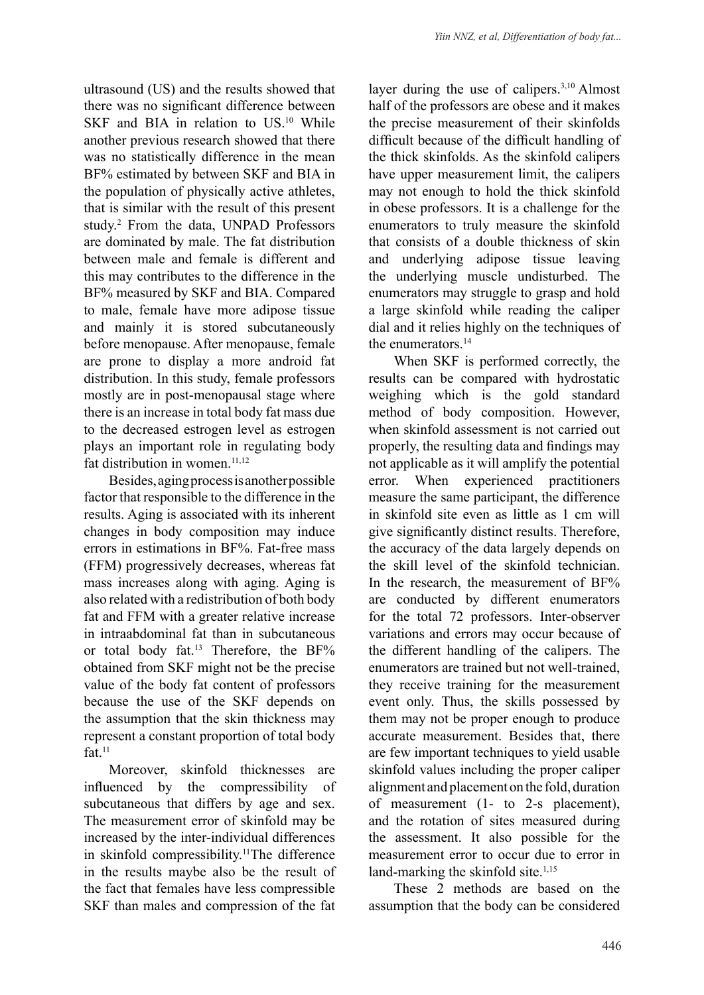ultrasound (US) and the results showed that there was no significant difference between SKF and BIA in relation to US.<sup>10</sup> While another previous research showed that there was no statistically difference in the mean BF% estimated by between SKF and BIA in the population of physically active athletes, that is similar with the result of this present study.2 From the data, UNPAD Professors are dominated by male. The fat distribution between male and female is different and this may contributes to the difference in the BF% measured by SKF and BIA. Compared to male, female have more adipose tissue and mainly it is stored subcutaneously before menopause. After menopause, female are prone to display a more android fat distribution. In this study, female professors mostly are in post-menopausal stage where there is an increase in total body fat mass due to the decreased estrogen level as estrogen plays an important role in regulating body fat distribution in women.<sup>11,12</sup>

Besides, aging process is another possible factor that responsible to the difference in the results. Aging is associated with its inherent changes in body composition may induce errors in estimations in BF%. Fat-free mass (FFM) progressively decreases, whereas fat mass increases along with aging. Aging is also related with a redistribution of both body fat and FFM with a greater relative increase in intraabdominal fat than in subcutaneous or total body fat.<sup>13</sup> Therefore, the BF% obtained from SKF might not be the precise value of the body fat content of professors because the use of the SKF depends on the assumption that the skin thickness may represent a constant proportion of total body fat. $11$ 

Moreover, skinfold thicknesses are influenced by the compressibility of subcutaneous that differs by age and sex. The measurement error of skinfold may be increased by the inter-individual differences in skinfold compressibility.11The difference in the results maybe also be the result of the fact that females have less compressible SKF than males and compression of the fat layer during the use of calipers.<sup>3,10</sup> Almost half of the professors are obese and it makes the precise measurement of their skinfolds difficult because of the difficult handling of the thick skinfolds. As the skinfold calipers have upper measurement limit, the calipers may not enough to hold the thick skinfold in obese professors. It is a challenge for the enumerators to truly measure the skinfold that consists of a double thickness of skin and underlying adipose tissue leaving the underlying muscle undisturbed. The enumerators may struggle to grasp and hold a large skinfold while reading the caliper dial and it relies highly on the techniques of the enumerators.<sup>14</sup>

When SKF is performed correctly, the results can be compared with hydrostatic weighing which is the gold standard method of body composition. However, when skinfold assessment is not carried out properly, the resulting data and findings may not applicable as it will amplify the potential error. When experienced practitioners measure the same participant, the difference in skinfold site even as little as 1 cm will give significantly distinct results. Therefore, the accuracy of the data largely depends on the skill level of the skinfold technician. In the research, the measurement of BF% are conducted by different enumerators for the total 72 professors. Inter-observer variations and errors may occur because of the different handling of the calipers. The enumerators are trained but not well-trained, they receive training for the measurement event only. Thus, the skills possessed by them may not be proper enough to produce accurate measurement. Besides that, there are few important techniques to yield usable skinfold values including the proper caliper alignment and placement on the fold, duration of measurement (1- to 2-s placement), and the rotation of sites measured during the assessment. It also possible for the measurement error to occur due to error in land-marking the skinfold site. $1,15$ 

These 2 methods are based on the assumption that the body can be considered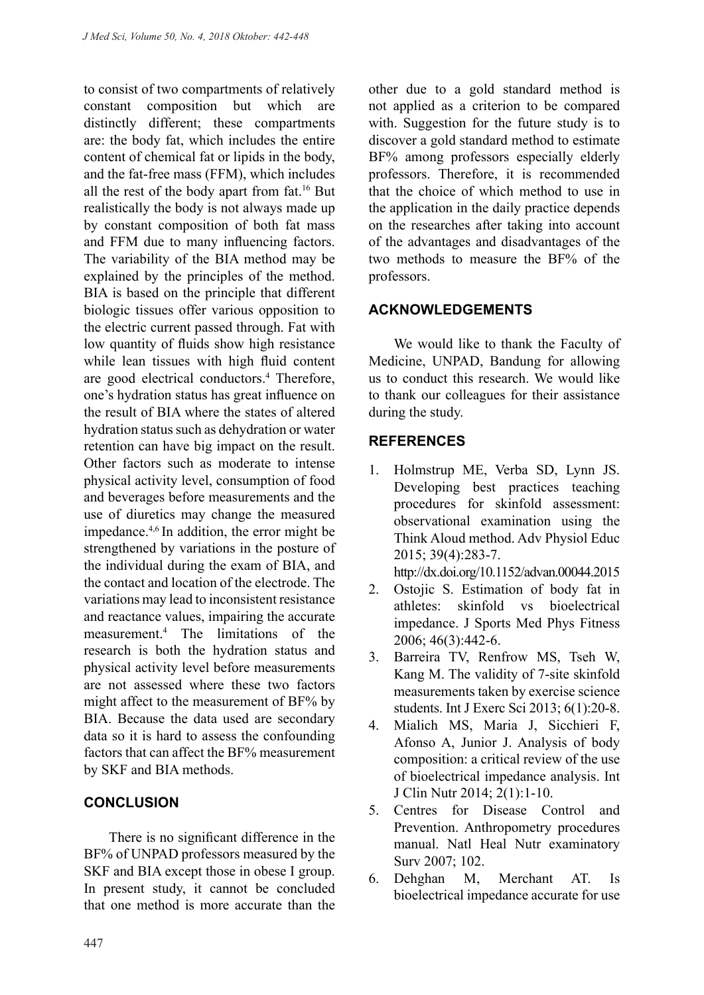to consist of two compartments of relatively constant composition but which are distinctly different; these compartments are: the body fat, which includes the entire content of chemical fat or lipids in the body, and the fat-free mass (FFM), which includes all the rest of the body apart from fat.16 But realistically the body is not always made up by constant composition of both fat mass and FFM due to many influencing factors. The variability of the BIA method may be explained by the principles of the method. BIA is based on the principle that different biologic tissues offer various opposition to the electric current passed through. Fat with low quantity of fluids show high resistance while lean tissues with high fluid content are good electrical conductors.4 Therefore, one's hydration status has great influence on the result of BIA where the states of altered hydration status such as dehydration or water retention can have big impact on the result. Other factors such as moderate to intense physical activity level, consumption of food and beverages before measurements and the use of diuretics may change the measured impedance.4,6 In addition, the error might be strengthened by variations in the posture of the individual during the exam of BIA, and the contact and location of the electrode. The variations may lead to inconsistent resistance and reactance values, impairing the accurate measurement.4 The limitations of the research is both the hydration status and physical activity level before measurements are not assessed where these two factors might affect to the measurement of BF% by BIA. Because the data used are secondary data so it is hard to assess the confounding factors that can affect the BF% measurement by SKF and BIA methods.

## **CONCLUSION**

There is no significant difference in the BF% of UNPAD professors measured by the SKF and BIA except those in obese I group. In present study, it cannot be concluded that one method is more accurate than the other due to a gold standard method is not applied as a criterion to be compared with. Suggestion for the future study is to discover a gold standard method to estimate BF% among professors especially elderly professors. Therefore, it is recommended that the choice of which method to use in the application in the daily practice depends on the researches after taking into account of the advantages and disadvantages of the two methods to measure the BF% of the professors.

## **ACKNOWLEDGEMENTS**

We would like to thank the Faculty of Medicine, UNPAD, Bandung for allowing us to conduct this research. We would like to thank our colleagues for their assistance during the study.

## **REFERENCES**

1. Holmstrup ME, Verba SD, Lynn JS. Developing best practices teaching procedures for skinfold assessment: observational examination using the Think Aloud method. Adv Physiol Educ 2015; 39(4):283-7.

http://dx.doi.org/10.1152/advan.00044.2015

- 2. Ostojic S. Estimation of body fat in athletes: skinfold vs bioelectrical impedance. J Sports Med Phys Fitness 2006; 46(3):442-6.
- 3. Barreira TV, Renfrow MS, Tseh W, Kang M. The validity of 7-site skinfold measurements taken by exercise science students. Int J Exerc Sci 2013; 6(1):20-8.
- 4. Mialich MS, Maria J, Sicchieri F, Afonso A, Junior J. Analysis of body composition: a critical review of the use of bioelectrical impedance analysis. Int J Clin Nutr 2014; 2(1):1-10.
- 5. Centres for Disease Control and Prevention. Anthropometry procedures manual. Natl Heal Nutr examinatory Surv 2007; 102.
- 6. Dehghan M, Merchant AT. Is bioelectrical impedance accurate for use